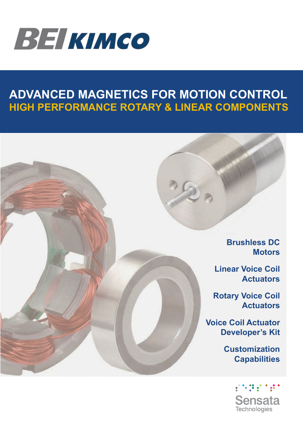

## **ADVANCED MAGNETICS FOR MOTION CONTROL HIGH PERFORMANCE ROTARY & LINEAR COMPONENTS**



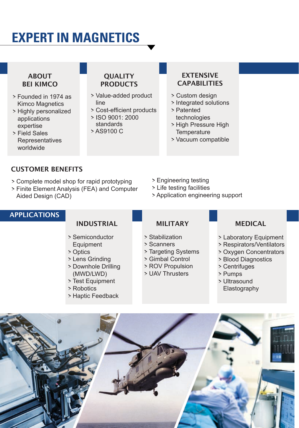# **EXPERT IN MAGNETICS**

#### **ABOUT** BEI KIMCO

- > Founded in 1974 as Kimco Magnetics
- > Highly personalized applications expertise
- > Field Sales **Representatives** worldwide

#### **QUALITY** PRODUCTS

- > Value-added product line
- > Cost-efficient products
- > ISO 9001: 2000 standards
- > AS9100 C

#### EXTENSIVE **CAPABILITIES**

- > Custom design
- > Integrated solutions
- > Patented technologies
- > High Pressure High **Temperature**
- > Vacuum compatible

#### CUSTOMER BENEFITS

- > Complete model shop for rapid prototyping
- > Finite Element Analysis (FEA) and Computer Aided Design (CAD)
- > Engineering testing
- > Life testing facilities
- > Application engineering support

#### APPLICATIONS

## INDUSTRIAL

- > Semiconductor Equipment
- > Optics
- > Lens Grinding
- > Downhole Drilling (MWD/LWD)
- > Test Equipment
- > Robotics
- > Haptic Feedback

## MILITARY

- > Stabilization
- > Scanners
- > Targeting Systems
- > Gimbal Control
- > ROV Propulsion
- > UAV Thrusters
- > Pumps > Ultrasound

> Centrifuges

Elastography

> Laboratory Equipment > Respirators/Ventilators > Oxygen Concentrators > Blood Diagnostics

MEDICAL

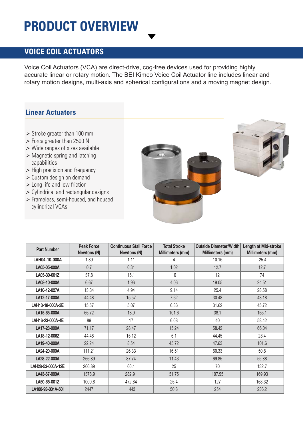## **PRODUCT OVERVIEW**

### **VOICE COIL ACTUATORS**

Voice Coil Actuators (VCA) are direct-drive, cog-free devices used for providing highly accurate linear or rotary motion. The BEI Kimco Voice Coil Actuator line includes linear and rotary motion designs, multi-axis and spherical configurations and a moving magnet design.

#### **Linear Actuators**

- *>* Stroke greater than 100 mm
- *>* Force greater than 2500 N
- *>* Wide ranges of sizes available
- *>* Magnetic spring and latching capabilities
- *>* High precision and frequency
- *>* Custom design on demand
- *>* Long life and low friction
- *>* Cylindrical and rectangular designs
- *>* Frameless, semi-housed, and housed cylindrical VCAs





| <b>Part Number</b> | <b>Peak Force</b> | <b>Continuous Stall Force</b> | <b>Total Stroke</b> | <b>Outside Diameter/Width</b> | Length at Mid-stroke |
|--------------------|-------------------|-------------------------------|---------------------|-------------------------------|----------------------|
|                    | Newtons (N)       | Newtons (N)                   | Millimeters (mm)    | Millimeters (mm)              | Millimeters (mm)     |
| LAH04-10-000A      | 1.89              | 1.11                          | 4                   | 10.16                         | 25.4                 |
| LA05-05-000A       | 0.7               | 0.31                          | 1.02                | 12.7                          | 12.7                 |
| LA05-30-001Z       | 37.8              | 15.1                          | 10                  | 12                            | 74                   |
| LA08-10-000A       | 6.67              | 1.96                          | 4.06                | 19.05                         | 24.51                |
| LA10-12-027A       | 13.34             | 4.94                          | 9.14                | 25.4                          | 28.58                |
| LA12-17-000A       | 44.48             | 15.57                         | 7.62                | 30.48                         | 43.18                |
| LAH13-18-000A-3E   | 15.57             | 5.07                          | 6.36                | 31.62                         | 45.72                |
| LA15-65-000A       | 66.72             | 18,9                          | 101.6               | 38.1                          | 165.1                |
| LAH16-23-000A-4E   | 89                | 17                            | 6.08                | 40                            | 58.42                |
| LA17-28-000A       | 71.17             | 28.47                         | 15.24               | 58.42                         | 66.04                |
| LA18-12-006Z       | 44.48             | 15.12                         | 6.1                 | 44.45                         | 28.4                 |
| LA19-40-000A       | 22.24             | 8.54                          | 45.72               | 47.63                         | 101.6                |
| LA24-20-000A       | 111.21            | 26.33                         | 16.51               | 60.33                         | 50.8                 |
| LA28-22-000A       | 266.89            | 87.74                         | 11.43               | 69.85                         | 55.88                |
| LAH28-53-000A-12E  | 266.89            | 60.1                          | 25                  | 70                            | 132.7                |
| LA43-67-000A       | 1378.9            | 282.91                        | 31.75               | 107.95                        | 169.93               |
| LA50-65-001Z       | 1000.8            | 472.84                        | 25.4                | 127                           | 163.32               |
| LA100-93-001A-50I  | 2447              | 1443                          | 50.8                | 254                           | 236.2                |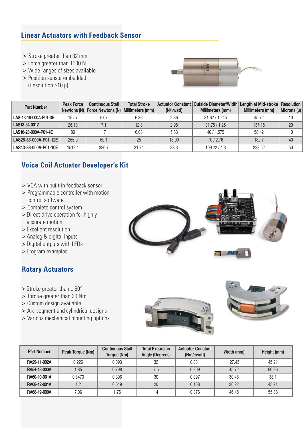### **Linear Actuators with Feedback Sensor**

- *>* Stroke greater than 32 mm
- *>* Force greater than 1500 N
- *>* Wide ranges of sizes available
- *>* Position sensor embedded
- (Resolution ≥10 µ)



| <b>Part Number</b>    | <b>Peak Force</b> | <b>Continuous Stall</b><br>Newtons (N)   Force Newtons (N)   Millimeters (mm) | <b>Total Stroke</b> | $(N/\text{watt})$ | Actuator Constant   Outside Diameter/Width   Length at Mid-stroke   Resolution<br>Millimeters (mm) | Millimeters (mm) | Microns $(\mu)$ |
|-----------------------|-------------------|-------------------------------------------------------------------------------|---------------------|-------------------|----------------------------------------------------------------------------------------------------|------------------|-----------------|
| LAS-13-18-000A-P01-3E | 15.57             | 5.07                                                                          | 6.36                | 2.36              | 31.62 / 1.245                                                                                      | 45.72            | 10              |
| LAS13-54-001Z         | 26.13             | 7.1                                                                           | 12.8                | 2.98              | 31.75 / 1.25                                                                                       | 137.16           | 20              |
| LAS16-23-000A-P01-4E  | 89                |                                                                               | 6.08                | 5.83              | 40 / 1.575                                                                                         | 58.42            | 10              |
| LAS28-53-000A-P01-12E | 266.9             | 60.1                                                                          | 25                  | 13.09             | 70/2.76                                                                                            | 132.7            | 40              |
| LAS43-88-000A-P01-10E | 1512.4            | 386.7                                                                         | 31.74               | 38.3              | 109.22 / 4.3                                                                                       | 223.52           | 50              |

## **Voice Coil Actuator Developer's Kit**

- *>* VCA with built-in feedback sensor
- *>* Programmable controller with motion control software
- *>* Complete control system
- *>* Direct-drive operation for highly accurate motion
- *>* Excellent resolution
- *>* Analog & digital inputs
- *>* Digital outputs with LEDs
- *>* Program examples

#### **Rotary Actuators**

- *>* Stroke greater than ± 60°
- *>* Torque greater than 20 Nm
- *>* Custom design available
- *>* Arc-segment and cylindrical designs
- *>* Various mechanical mounting options







| <b>Part Number</b> | Peak Torque (Nm) | <b>Continuous Stall</b><br>Torque (Nm) | <b>Total Excursion</b><br><b>Angle (Degrees)</b> | <b>Actuator Constant</b><br>$(Nm/\sqrt{watt})$ | Width (mm) | Height (mm) |
|--------------------|------------------|----------------------------------------|--------------------------------------------------|------------------------------------------------|------------|-------------|
| RA29-11-002A       | 0.226            | 0.093                                  | 32                                               | 0.031                                          | 27.43      | 45.21       |
| RA54-18-000A       | 1.85             | 0.798                                  | 7.5                                              | 0.209                                          | 45.72      | 60.96       |
| RA60-10-001A       | 0.8473           | 0.396                                  | 30                                               | 0.097                                          | 30.48      | 38.1        |
| RA68-12-001A       | 1.2              | 0.649                                  | 20                                               | 0.158                                          | 30.22      | 45.21       |
| RA68-19-000A       | 7.06             | 1.76                                   |                                                  | 0.376                                          | 46.48      | 55.88       |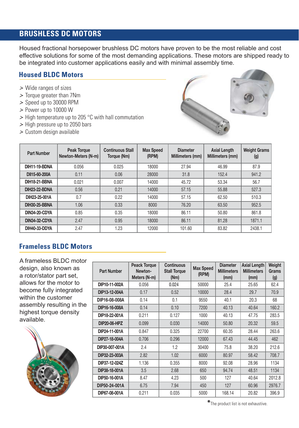## **BRUSHLESS DC MOTORS**

Housed fractional horsepower brushless DC motors have proven to be the most reliable and cost effective solutions for some of the most demanding applications. These motors are shipped ready to be integrated into customer applications easily and with minimal assembly time.

#### **Housed BLDC Motors**

- *>* Wide ranges of sizes
- *>* Torque greater than 7Nm
- *>* Speed up to 30000 RPM
- *>* Power up to 10000 W
- *>* High temperature up to 205 °C with hall commutation
- *>* High pressure up to 2050 bars
- *>* Custom design available



| Part Number          | <b>Peak Torque</b><br>Newton-Meters (N-m) | <b>Continuous Stall</b><br>Torque (Nm) | <b>Max Speed</b><br>(RPM) | <b>Diameter</b><br>Millimeters (mm) | <b>Axial Length</b><br>Millimeters (mm) | <b>Weight Grams</b><br>(g) |
|----------------------|-------------------------------------------|----------------------------------------|---------------------------|-------------------------------------|-----------------------------------------|----------------------------|
| DIH11-19-BDNA        | 0.056                                     | 0.025                                  | 18000                     | 27.94                               | 46.99                                   | 87.9                       |
| DII15-60-200A        | 0.11                                      | 0.06                                   | 28000                     | 31.8                                | 152.4                                   | 941.2                      |
| <b>DIH18-21-BBNA</b> | 0.021                                     | 0.007                                  | 14000                     | 45.72                               | 53.34                                   | 56.7                       |
| <b>DIH23-22-BDNA</b> | 0.56                                      | 0.21                                   | 14000                     | 57.15                               | 55.88                                   | 527.3                      |
| DIH23-25-001A        | 0.7                                       | 0.22                                   | 14000                     | 57.15                               | 62.50                                   | 510.3                      |
| <b>DIH30-25-BBNA</b> | 1.06                                      | 0.33                                   | 8000                      | 76.20                               | 63.50                                   | 952.5                      |
| DIN34-20-CDYA        | 0.85                                      | 0.35                                   | 18000                     | 86.11                               | 50.80                                   | 861.8                      |
| DIN34-32-CDYA        | 2.47                                      | 0.95                                   | 18000                     | 86.11                               | 81.28                                   | 1871.1                     |
| DIH40-33-DDYA        | 2.47                                      | 1.23                                   | 12000                     | 101.60                              | 83.82                                   | 2438.1                     |

#### **Frameless BLDC Motors**

A frameless BLDC motor design, also known as a rotor/stator part set, allows for the motor to become fully integrated within the customer assembly resulting in the highest torque density available.



| <b>Part Number</b>  | <b>Peack Torque</b><br>Newton-<br>Meters (N-m) | <b>Continuous</b><br><b>Stall Torque</b><br>(Nm) | <b>Max Speed</b><br>(RPM) | <b>Diameter</b><br><b>Millimeters</b><br>(mm) | <b>Axial Length</b><br><b>Millimeters</b><br>(mm) | Weight<br><b>Grams</b><br>(g) |
|---------------------|------------------------------------------------|--------------------------------------------------|---------------------------|-----------------------------------------------|---------------------------------------------------|-------------------------------|
| DIP10-11-002A       | 0.056                                          | 0.024                                            | 50000                     | 25.4                                          | 25.65                                             | 62.4                          |
| DIP13-12-004A       | 0.17                                           | 0.52                                             | 10000                     | 28.4                                          | 29.7                                              | 70.9                          |
| DIP16-08-008A       | 0.14                                           | 0.1                                              | 9550                      | 40.1                                          | 20.3                                              | 68                            |
| DIP16-16-008A       | 0.14                                           | 0.10                                             | 7200                      | 40.13                                         | 40.64                                             | 160.2                         |
| DIP18-22-001A       | 0.211                                          | 0.127                                            | 1000                      | 40.13                                         | 47.75                                             | 283.5                         |
| <b>DIP20-06-HPZ</b> | 0.099                                          | 0.030                                            | 14000                     | 50.80                                         | 20.32                                             | 59.5                          |
| DIP24-11-001A       | 0.847                                          | 0.325                                            | 22700                     | 60.35                                         | 28.44                                             | 263.6                         |
| DIP27-18-004A       | 0.706                                          | 0.296                                            | 12000                     | 67.43                                         | 44.45                                             | 462                           |
| DIP30-007-001A      | 2.4                                            | 1.2                                              | 30400                     | 75.8                                          | 38.20                                             | 212.6                         |
| DIP32-23-003A       | 2.82                                           | 1.02                                             | 6000                      | 80.97                                         | 58.42                                             | 708.7                         |
| DIP37-12-024Z       | 1.136                                          | 0.355                                            | 8000                      | 92.08                                         | 28.96                                             | 1134                          |
| DIP38-18-001A       | 3.5                                            | 2.68                                             | 650                       | 94.74                                         | 48.51                                             | 1134                          |
| DIP50-16-001A       | 8.47                                           | 4.23                                             | 500                       | 127                                           | 40.64                                             | 2012.8                        |
| DIP50-24-001A       | 6.75                                           | 7.94                                             | 450                       | 127                                           | 60.96                                             | 2976.7                        |
| DIP67-08-001A       | 0.211                                          | 0.035                                            | 5000                      | 168.14                                        | 20.82                                             | 396.9                         |

**\***The product list is not exhaustive.